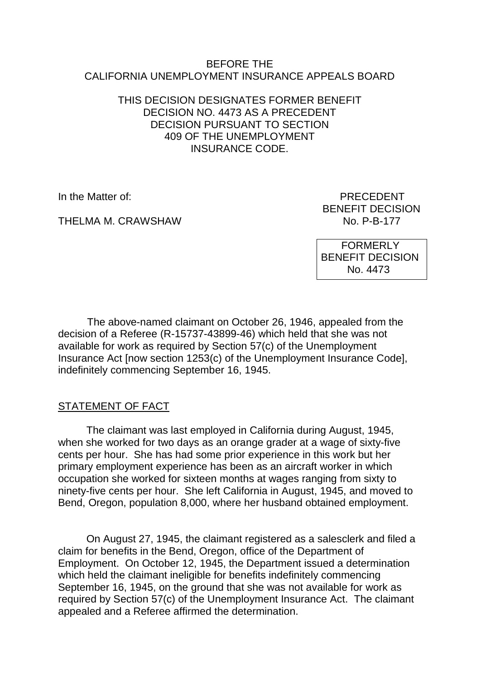#### BEFORE THE CALIFORNIA UNEMPLOYMENT INSURANCE APPEALS BOARD

### THIS DECISION DESIGNATES FORMER BENEFIT DECISION NO. 4473 AS A PRECEDENT DECISION PURSUANT TO SECTION 409 OF THE UNEMPLOYMENT INSURANCE CODE.

THELMA M. CRAWSHAW

In the Matter of: PRECEDENT BENEFIT DECISION<br>No. P-B-177

> FORMERLY BENEFIT DECISION No. 4473

The above-named claimant on October 26, 1946, appealed from the decision of a Referee (R-15737-43899-46) which held that she was not available for work as required by Section 57(c) of the Unemployment Insurance Act [now section 1253(c) of the Unemployment Insurance Code], indefinitely commencing September 16, 1945.

# STATEMENT OF FACT

The claimant was last employed in California during August, 1945, when she worked for two days as an orange grader at a wage of sixty-five cents per hour. She has had some prior experience in this work but her primary employment experience has been as an aircraft worker in which occupation she worked for sixteen months at wages ranging from sixty to ninety-five cents per hour. She left California in August, 1945, and moved to Bend, Oregon, population 8,000, where her husband obtained employment.

On August 27, 1945, the claimant registered as a salesclerk and filed a claim for benefits in the Bend, Oregon, office of the Department of Employment. On October 12, 1945, the Department issued a determination which held the claimant ineligible for benefits indefinitely commencing September 16, 1945, on the ground that she was not available for work as required by Section 57(c) of the Unemployment Insurance Act. The claimant appealed and a Referee affirmed the determination.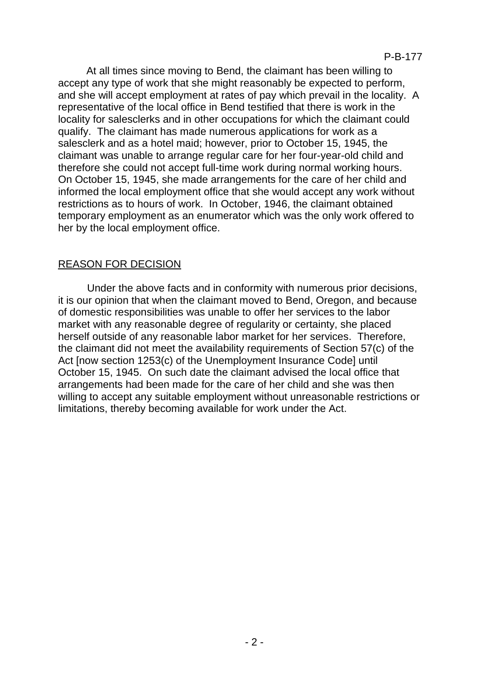At all times since moving to Bend, the claimant has been willing to accept any type of work that she might reasonably be expected to perform, and she will accept employment at rates of pay which prevail in the locality. A representative of the local office in Bend testified that there is work in the locality for salesclerks and in other occupations for which the claimant could qualify. The claimant has made numerous applications for work as a salesclerk and as a hotel maid; however, prior to October 15, 1945, the claimant was unable to arrange regular care for her four-year-old child and therefore she could not accept full-time work during normal working hours. On October 15, 1945, she made arrangements for the care of her child and informed the local employment office that she would accept any work without restrictions as to hours of work. In October, 1946, the claimant obtained temporary employment as an enumerator which was the only work offered to her by the local employment office.

## REASON FOR DECISION

Under the above facts and in conformity with numerous prior decisions, it is our opinion that when the claimant moved to Bend, Oregon, and because of domestic responsibilities was unable to offer her services to the labor market with any reasonable degree of regularity or certainty, she placed herself outside of any reasonable labor market for her services. Therefore, the claimant did not meet the availability requirements of Section 57(c) of the Act [now section 1253(c) of the Unemployment Insurance Code] until October 15, 1945. On such date the claimant advised the local office that arrangements had been made for the care of her child and she was then willing to accept any suitable employment without unreasonable restrictions or limitations, thereby becoming available for work under the Act.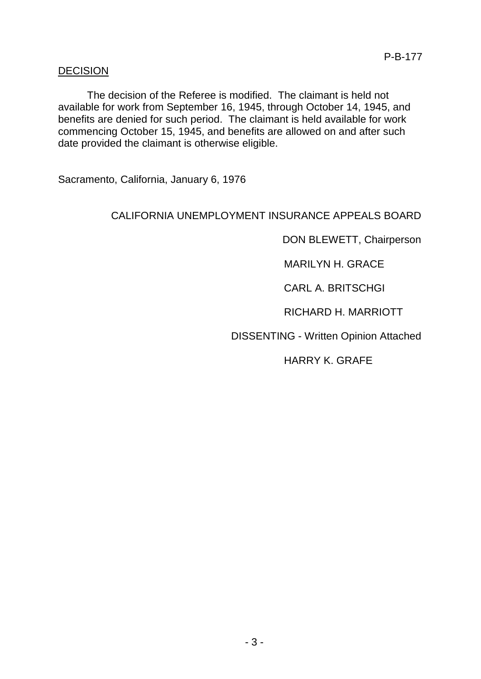### DECISION

The decision of the Referee is modified. The claimant is held not available for work from September 16, 1945, through October 14, 1945, and benefits are denied for such period. The claimant is held available for work commencing October 15, 1945, and benefits are allowed on and after such date provided the claimant is otherwise eligible.

Sacramento, California, January 6, 1976

### CALIFORNIA UNEMPLOYMENT INSURANCE APPEALS BOARD

DON BLEWETT, Chairperson

MARILYN H. GRACE

CARL A. BRITSCHGI

RICHARD H. MARRIOTT

DISSENTING - Written Opinion Attached

HARRY K. GRAFE